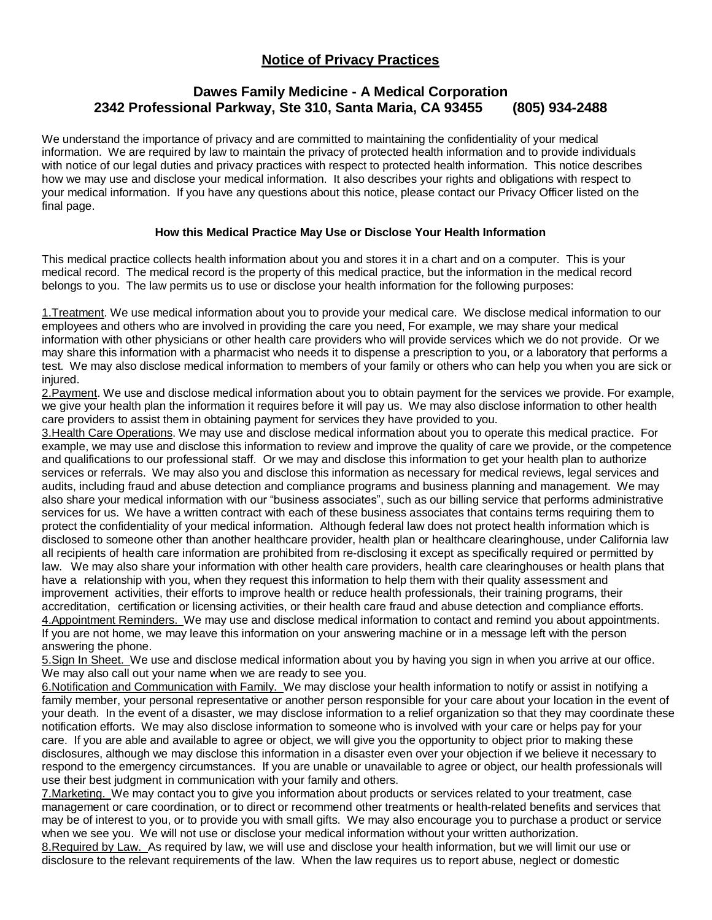# **Notice of Privacy Practices**

## **Dawes Family Medicine - A Medical Corporation 2342 Professional Parkway, Ste 310, Santa Maria, CA 93455 (805) 934-2488**

We understand the importance of privacy and are committed to maintaining the confidentiality of your medical information. We are required by law to maintain the privacy of protected health information and to provide individuals with notice of our legal duties and privacy practices with respect to protected health information. This notice describes how we may use and disclose your medical information. It also describes your rights and obligations with respect to your medical information. If you have any questions about this notice, please contact our Privacy Officer listed on the final page.

### **How this Medical Practice May Use or Disclose Your Health Information**

This medical practice collects health information about you and stores it in a chart and on a computer. This is your medical record. The medical record is the property of this medical practice, but the information in the medical record belongs to you. The law permits us to use or disclose your health information for the following purposes:

1. Treatment. We use medical information about you to provide your medical care. We disclose medical information to our employees and others who are involved in providing the care you need, For example, we may share your medical information with other physicians or other health care providers who will provide services which we do not provide. Or we may share this information with a pharmacist who needs it to dispense a prescription to you, or a laboratory that performs a test. We may also disclose medical information to members of your family or others who can help you when you are sick or injured.

2. Payment. We use and disclose medical information about you to obtain payment for the services we provide. For example, we give your health plan the information it requires before it will pay us. We may also disclose information to other health care providers to assist them in obtaining payment for services they have provided to you.

3.Health Care Operations. We may use and disclose medical information about you to operate this medical practice. For example, we may use and disclose this information to review and improve the quality of care we provide, or the competence and qualifications to our professional staff. Or we may and disclose this information to get your health plan to authorize services or referrals. We may also you and disclose this information as necessary for medical reviews, legal services and audits, including fraud and abuse detection and compliance programs and business planning and management. We may also share your medical information with our "business associates", such as our billing service that performs administrative services for us. We have a written contract with each of these business associates that contains terms requiring them to protect the confidentiality of your medical information. Although federal law does not protect health information which is disclosed to someone other than another healthcare provider, health plan or healthcare clearinghouse, under California law all recipients of health care information are prohibited from re-disclosing it except as specifically required or permitted by law. We may also share your information with other health care providers, health care clearinghouses or health plans that have a relationship with you, when they request this information to help them with their quality assessment and improvement activities, their efforts to improve health or reduce health professionals, their training programs, their accreditation, certification or licensing activities, or their health care fraud and abuse detection and compliance efforts. 4.Appointment Reminders. We may use and disclose medical information to contact and remind you about appointments. If you are not home, we may leave this information on your answering machine or in a message left with the person answering the phone.

5.Sign In Sheet. We use and disclose medical information about you by having you sign in when you arrive at our office. We may also call out your name when we are ready to see you.

6.Notification and Communication with Family. We may disclose your health information to notify or assist in notifying a family member, your personal representative or another person responsible for your care about your location in the event of your death. In the event of a disaster, we may disclose information to a relief organization so that they may coordinate these notification efforts. We may also disclose information to someone who is involved with your care or helps pay for your care. If you are able and available to agree or object, we will give you the opportunity to object prior to making these disclosures, although we may disclose this information in a disaster even over your objection if we believe it necessary to respond to the emergency circumstances. If you are unable or unavailable to agree or object, our health professionals will use their best judgment in communication with your family and others.

7.Marketing. We may contact you to give you information about products or services related to your treatment, case management or care coordination, or to direct or recommend other treatments or health-related benefits and services that may be of interest to you, or to provide you with small gifts. We may also encourage you to purchase a product or service when we see you. We will not use or disclose your medical information without your written authorization.

8.Required by Law. As required by law, we will use and disclose your health information, but we will limit our use or disclosure to the relevant requirements of the law. When the law requires us to report abuse, neglect or domestic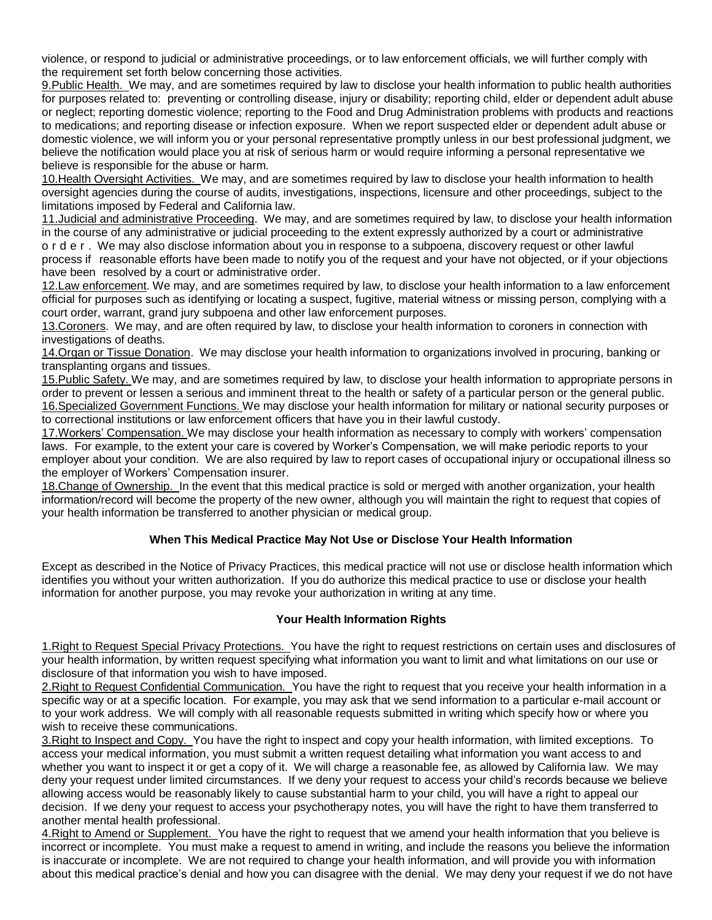violence, or respond to judicial or administrative proceedings, or to law enforcement officials, we will further comply with the requirement set forth below concerning those activities.

9.Public Health. We may, and are sometimes required by law to disclose your health information to public health authorities for purposes related to: preventing or controlling disease, injury or disability; reporting child, elder or dependent adult abuse or neglect; reporting domestic violence; reporting to the Food and Drug Administration problems with products and reactions to medications; and reporting disease or infection exposure. When we report suspected elder or dependent adult abuse or domestic violence, we will inform you or your personal representative promptly unless in our best professional judgment, we believe the notification would place you at risk of serious harm or would require informing a personal representative we believe is responsible for the abuse or harm.

10.Health Oversight Activities. We may, and are sometimes required by law to disclose your health information to health oversight agencies during the course of audits, investigations, inspections, licensure and other proceedings, subject to the limitations imposed by Federal and California law.

11.Judicial and administrative Proceeding. We may, and are sometimes required by law, to disclose your health information in the course of any administrative or judicial proceeding to the extent expressly authorized by a court or administrative o r d e r . We may also disclose information about you in response to a subpoena, discovery request or other lawful process if reasonable efforts have been made to notify you of the request and your have not objected, or if your objections have been resolved by a court or administrative order.

12. Law enforcement. We may, and are sometimes required by law, to disclose your health information to a law enforcement official for purposes such as identifying or locating a suspect, fugitive, material witness or missing person, complying with a court order, warrant, grand jury subpoena and other law enforcement purposes.

13. Coroners. We may, and are often required by law, to disclose your health information to coroners in connection with investigations of deaths.

14.Organ or Tissue Donation. We may disclose your health information to organizations involved in procuring, banking or transplanting organs and tissues.

15.Public Safety. We may, and are sometimes required by law, to disclose your health information to appropriate persons in order to prevent or lessen a serious and imminent threat to the health or safety of a particular person or the general public. 16.Specialized Government Functions. We may disclose your health information for military or national security purposes or to correctional institutions or law enforcement officers that have you in their lawful custody.

17.Workers' Compensation. We may disclose your health information as necessary to comply with workers' compensation laws. For example, to the extent your care is covered by Worker's Compensation, we will make periodic reports to your employer about your condition. We are also required by law to report cases of occupational injury or occupational illness so the employer of Workers' Compensation insurer.

18.Change of Ownership. In the event that this medical practice is sold or merged with another organization, your health information/record will become the property of the new owner, although you will maintain the right to request that copies of your health information be transferred to another physician or medical group.

### **When This Medical Practice May Not Use or Disclose Your Health Information**

Except as described in the Notice of Privacy Practices, this medical practice will not use or disclose health information which identifies you without your written authorization. If you do authorize this medical practice to use or disclose your health information for another purpose, you may revoke your authorization in writing at any time.

### **Your Health Information Rights**

1.Right to Request Special Privacy Protections. You have the right to request restrictions on certain uses and disclosures of your health information, by written request specifying what information you want to limit and what limitations on our use or disclosure of that information you wish to have imposed.

2. Right to Request Confidential Communication. You have the right to request that you receive your health information in a specific way or at a specific location. For example, you may ask that we send information to a particular e-mail account or to your work address. We will comply with all reasonable requests submitted in writing which specify how or where you wish to receive these communications.

3.Right to Inspect and Copy. You have the right to inspect and copy your health information, with limited exceptions. To access your medical information, you must submit a written request detailing what information you want access to and whether you want to inspect it or get a copy of it. We will charge a reasonable fee, as allowed by California law. We may deny your request under limited circumstances. If we deny your request to access your child's records because we believe allowing access would be reasonably likely to cause substantial harm to your child, you will have a right to appeal our decision. If we deny your request to access your psychotherapy notes, you will have the right to have them transferred to another mental health professional.

4. Right to Amend or Supplement. You have the right to request that we amend your health information that you believe is incorrect or incomplete. You must make a request to amend in writing, and include the reasons you believe the information is inaccurate or incomplete. We are not required to change your health information, and will provide you with information about this medical practice's denial and how you can disagree with the denial. We may deny your request if we do not have